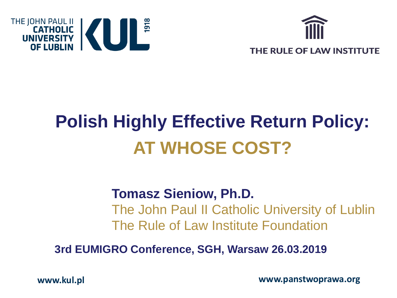



# **Polish Highly Effective Return Policy: AT WHOSE COST?**

#### **Tomasz Sieniow, Ph.D.**

The John Paul II Catholic University of Lublin The Rule of Law Institute Foundation

**3rd EUMIGRO Conference, SGH, Warsaw 26.03.2019**

**www.kul.pl**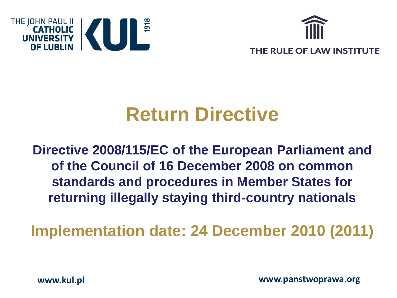



## **Return Directive**

**Directive 2008/115/EC of the European Parliament and of the Council of 16 December 2008 on common standards and procedures in Member States for returning illegally staying third-country nationals**

**Implementation date: 24 December 2010 (2011)**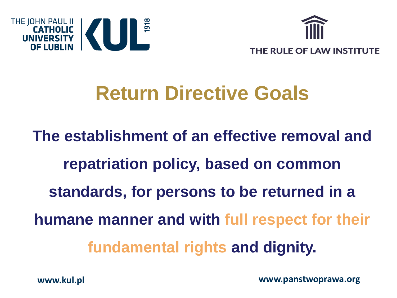



## **Return Directive Goals**

**The establishment of an effective removal and repatriation policy, based on common standards, for persons to be returned in a humane manner and with full respect for their fundamental rights and dignity.**

**www.panstwoprawa.org**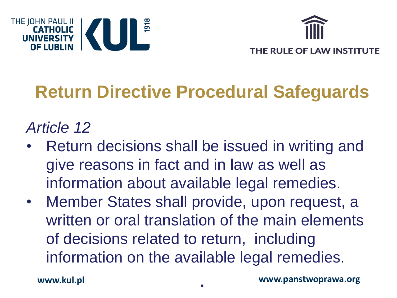



## **Return Directive Procedural Safeguards**

#### *Article 12*

- Return decisions shall be issued in writing and give reasons in fact and in law as well as information about available legal remedies.
- Member States shall provide, upon request, a written or oral translation of the main elements of decisions related to return, including information on the available legal remedies.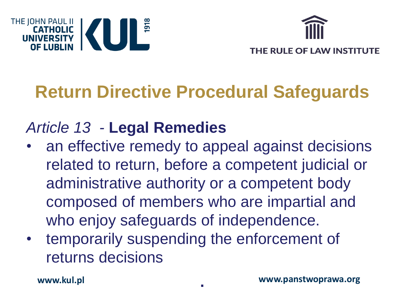



## **Return Directive Procedural Safeguards**

### *Article 13 -* **Legal Remedies**

- an effective remedy to appeal against decisions related to return, before a competent judicial or administrative authority or a competent body composed of members who are impartial and who enjoy safeguards of independence.
- temporarily suspending the enforcement of returns decisions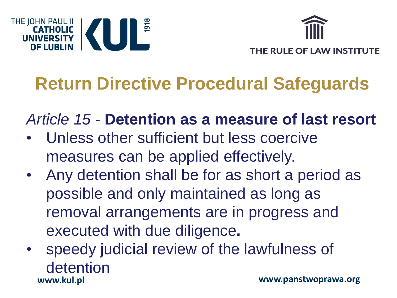



## **Return Directive Procedural Safeguards**

*Article 15 -* **Detention as a measure of last resort**

- Unless other sufficient but less coercive measures can be applied effectively.
- Any detention shall be for as short a period as possible and only maintained as long as removal arrangements are in progress and executed with due diligence**.**
- **www.kul.pl** speedy judicial review of the lawfulness of detention **www.panstwoprawa.org**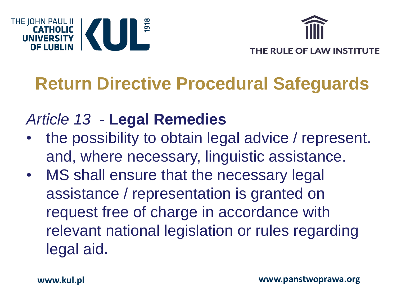



## **Return Directive Procedural Safeguards**

#### *Article 13 -* **Legal Remedies**

- the possibility to obtain legal advice / represent. and, where necessary, linguistic assistance.
- MS shall ensure that the necessary legal assistance / representation is granted on request free of charge in accordance with relevant national legislation or rules regarding legal aid**.**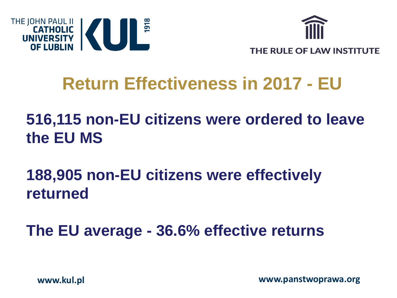



## **Return Effectiveness in 2017 - EU**

### **516,115 non-EU citizens were ordered to leave the EU MS**

**188,905 non-EU citizens were effectively returned** 

**The EU average - 36.6% effective returns**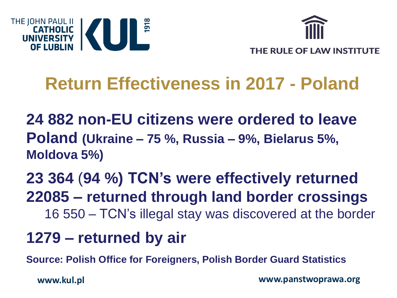



## **Return Effectiveness in 2017 - Poland**

**24 882 non-EU citizens were ordered to leave Poland (Ukraine – 75 %, Russia – 9%, Bielarus 5%, Moldova 5%)**

#### **23 364** (**94 %) TCN's were effectively returned 22085 – returned through land border crossings** 16 550 – TCN's illegal stay was discovered at the border

#### **1279 – returned by air**

**Source: Polish Office for Foreigners, Polish Border Guard Statistics**

**www.kul.pl**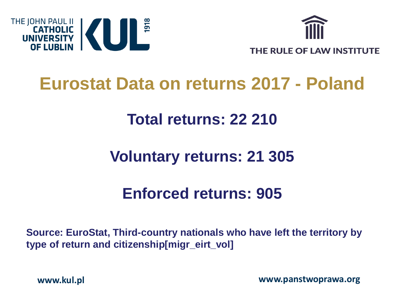



### **Eurostat Data on returns 2017 - Poland**

#### **Total returns: 22 210**

#### **Voluntary returns: 21 305**

#### **Enforced returns: 905**

**Source: EuroStat, Third-country nationals who have left the territory by type of return and citizenship[migr\_eirt\_vol]**

**www.kul.pl**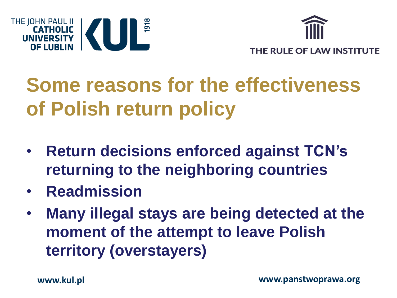



# **Some reasons for the effectiveness of Polish return policy**

- **Return decisions enforced against TCN's returning to the neighboring countries**
- **Readmission**
- **Many illegal stays are being detected at the moment of the attempt to leave Polish territory (overstayers)**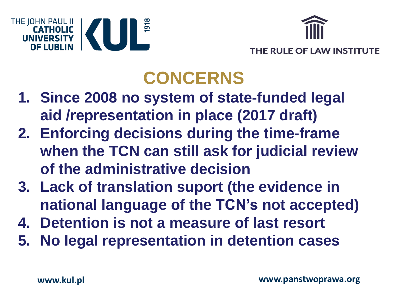



## **CONCERNS**

- **1. Since 2008 no system of state-funded legal aid /representation in place (2017 draft)**
- **2. Enforcing decisions during the time-frame when the TCN can still ask for judicial review of the administrative decision**
- **3. Lack of translation suport (the evidence in national language of the TCN's not accepted)**
- **4. Detention is not a measure of last resort**
- **5. No legal representation in detention cases**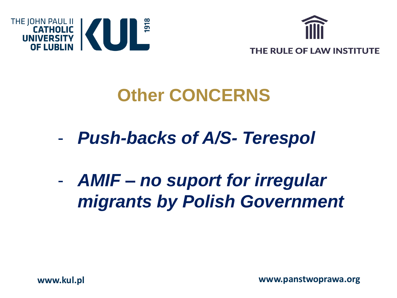



## **Other CONCERNS**

- *Push-backs of A/S- Terespol*

- *AMIF – no suport for irregular migrants by Polish Government*

**www.panstwoprawa.org**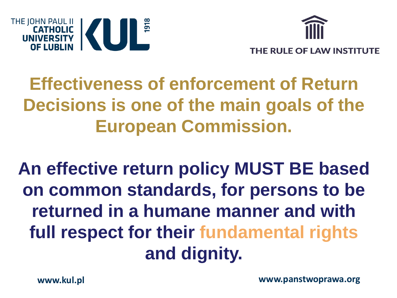



## **Effectiveness of enforcement of Return Decisions is one of the main goals of the European Commission.**

**An effective return policy MUST BE based on common standards, for persons to be returned in a humane manner and with full respect for their fundamental rights and dignity.**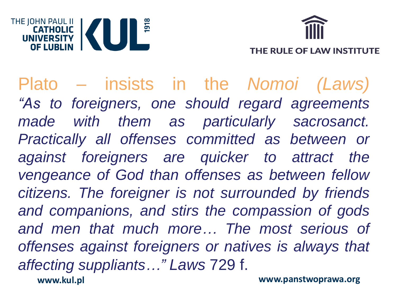



**www.kul.pl** Plato – insists in the *Nomoi (Laws) "As to foreigners, one should regard agreements made with them as particularly sacrosanct. Practically all offenses committed as between or against foreigners are quicker to attract the vengeance of God than offenses as between fellow citizens. The foreigner is not surrounded by friends and companions, and stirs the compassion of gods and men that much more… The most serious of offenses against foreigners or natives is always that affecting suppliants…" Laws* 729 f. **www.panstwoprawa.org**